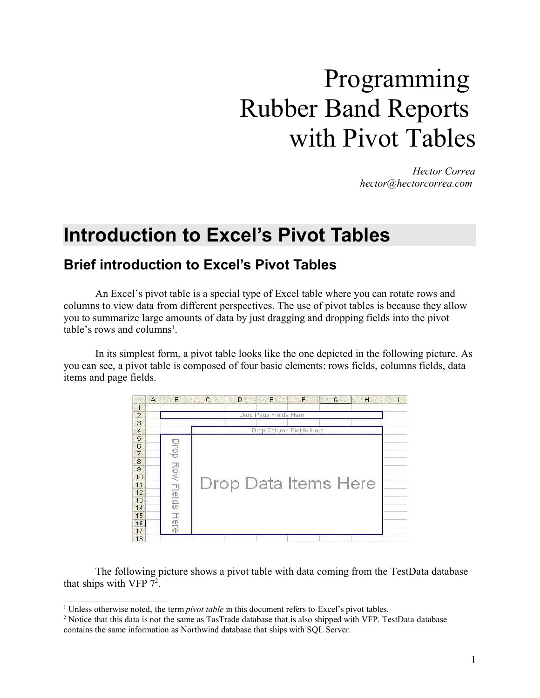# Programming Rubber Band Reports with Pivot Tables

*Hector Correa hector@hectorcorrea.com*

# **Introduction to Excel's Pivot Tables**

### **Brief introduction to Excel's Pivot Tables**

An Excel's pivot table is a special type of Excel table where you can rotate rows and columns to view data from different perspectives. The use of pivot tables is because they allow you to summarize large amounts of data by just dragging and dropping fields into the pivot table's rows and columns<sup>1</sup>.

In its simplest form, a pivot table looks like the one depicted in the following picture. As you can see, a pivot table is composed of four basic elements: rows fields, columns fields, data items and page fields.



The following picture shows a pivot table with data coming from the TestData database that ships with VFP  $7^2$ .

<sup>1</sup> Unless otherwise noted, the term *pivot table* in this document refers to Excel's pivot tables.

<sup>2</sup> Notice that this data is not the same as TasTrade database that is also shipped with VFP. TestData database contains the same information as Northwind database that ships with SQL Server.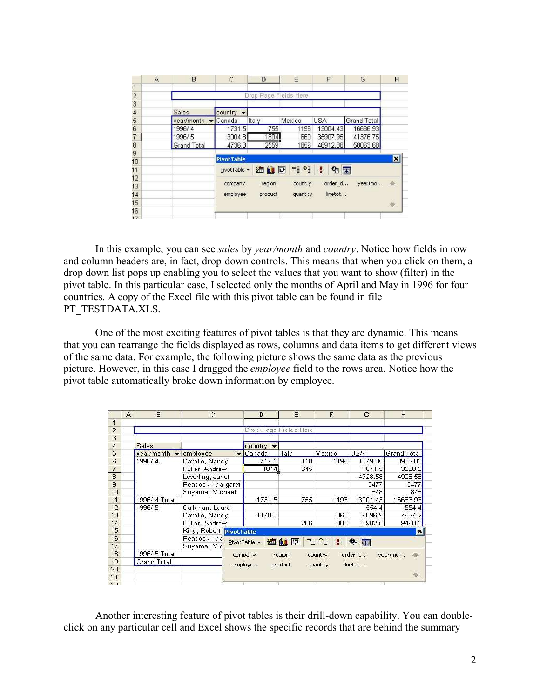|                   | A | B.                  | C                 | D                     | E        | F          | G           | H      |
|-------------------|---|---------------------|-------------------|-----------------------|----------|------------|-------------|--------|
| $\frac{1}{2}$     |   |                     |                   |                       |          |            |             |        |
|                   |   |                     |                   | Drop Page Fields Here |          |            |             |        |
| 3                 |   |                     |                   |                       |          |            |             |        |
| $\overline{4}$    |   | <b>Sales</b>        | $country -$       |                       |          |            |             |        |
| 5                 |   | year/month v Canada |                   | Italy                 | Mexico   | <b>USA</b> | Grand Total |        |
|                   |   | 1996/4              | 1731.5            | 755                   | 1196     | 13004.43   | 16686.93    |        |
| $\frac{6}{7}$     |   | 1996/5              | 3004.8            | 1804                  | 660      | 35907.95   | 41376.75    |        |
|                   |   | <b>Grand Total</b>  | 4736.3            | 2559                  | 1856     | 48912.38   | 58063.68    |        |
| 9                 |   |                     |                   |                       |          |            |             |        |
| 10                |   |                     | <b>PivotTable</b> |                       |          |            |             | ⊠      |
| 11                |   |                     | PivotTable -      | 海仙园                   | 명 현      | 2日         |             |        |
| $12 \overline{)}$ |   |                     |                   |                       |          |            |             |        |
| 13                |   |                     | company           | region                | country  | order d    | year/mo     | 伞      |
| 14                |   |                     | employee          | product               | quantity | linetot    |             |        |
| 15                |   |                     |                   |                       |          |            |             | $\psi$ |
| 16                |   |                     |                   |                       |          |            |             |        |
| 17                |   |                     |                   |                       |          |            |             |        |

In this example, you can see *sales* by *year/month* and *country*. Notice how fields in row and column headers are, in fact, drop-down controls. This means that when you click on them, a drop down list pops up enabling you to select the values that you want to show (filter) in the pivot table. In this particular case, I selected only the months of April and May in 1996 for four countries. A copy of the Excel file with this pivot table can be found in file PT\_TESTDATA.XLS.

One of the most exciting features of pivot tables is that they are dynamic. This means that you can rearrange the fields displayed as rows, columns and data items to get different views of the same data. For example, the following picture shows the same data as the previous picture. However, in this case I dragged the *employee* field to the rows area. Notice how the pivot table automatically broke down information by employee.

|                | A | B                  | $\mathcal{C}$                        | D                                                  | E                     | F            | G          | H                  |
|----------------|---|--------------------|--------------------------------------|----------------------------------------------------|-----------------------|--------------|------------|--------------------|
| 1              |   |                    |                                      |                                                    |                       |              |            |                    |
| $\overline{2}$ |   |                    |                                      |                                                    | Drop Page Fields Here |              |            |                    |
| з              |   |                    |                                      |                                                    |                       |              |            |                    |
| 4              |   | Sales              |                                      | country                                            |                       |              |            |                    |
| 5              |   | year/month         | employee<br>$\overline{\phantom{a}}$ | Canada                                             | Italy                 | Mexico.      | <b>USA</b> | <b>Grand Total</b> |
| 6              |   | 1996/4             | Davolio, Nancy                       | 717.5                                              | 110                   | 1196         | 1879.35    | 3902.85            |
| $\overline{I}$ |   |                    | Fuller, Andrew                       | 1014                                               | 645                   |              | 1871.5     | 3530.5             |
| 8              |   |                    | Leverling, Janet                     |                                                    |                       |              | 4928.58    | 4928.58            |
| 9              |   |                    | Peacock, Margaret                    |                                                    |                       |              | 3477       | 3477               |
| 10             |   |                    | Suyama, Michael                      |                                                    |                       |              | 848        | 848                |
| 11             |   | 1996/ 4 Total      |                                      | 1731.5                                             | 755                   | 1196         | 13004.43   | 16686.93           |
| 12             |   | 1996/5             | Callahan, Laura                      |                                                    |                       |              | 554.4      | 554.4              |
| 13             |   |                    | Davolio, Nancy                       | 1170.3                                             |                       | 360          | 6096.9     | 7627.2             |
| 14             |   |                    | Fuller, Andrew                       |                                                    | 266                   | 300          | 8902.5     | 9468.5             |
| 15             |   |                    | King, Robert PivotTable              |                                                    |                       |              |            | м                  |
| 16             |   |                    | Peacock, Ma                          | PivotTable -                                       | 油山团                   | $-101$<br>1. |            |                    |
| 17             |   |                    | Suyama, Mic                          |                                                    |                       |              | 21         |                    |
| 18             |   | 1996/ 5 Total      |                                      | order_d<br>year/mo<br>company<br>region<br>country |                       |              |            |                    |
| 19             |   | <b>Grand Total</b> |                                      | employee                                           | product               | quantity     | linetot    |                    |
| 20             |   |                    |                                      |                                                    |                       |              |            |                    |
| 21             |   |                    |                                      |                                                    |                       |              |            | W.                 |
| 22             |   |                    |                                      |                                                    |                       |              |            |                    |

Another interesting feature of pivot tables is their drill-down capability. You can doubleclick on any particular cell and Excel shows the specific records that are behind the summary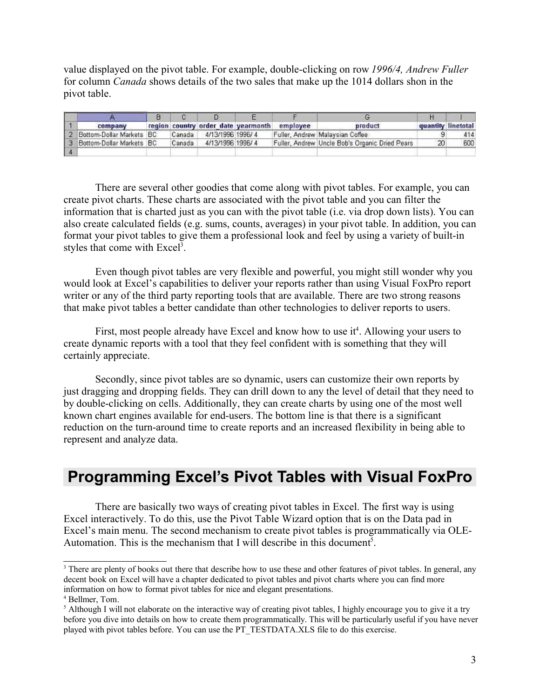value displayed on the pivot table. For example, double-clicking on row *1996/4, Andrew Fuller* for column *Canada* shows details of the two sales that make up the 1014 dollars shon in the pivot table.

| company                    |        | region country order date yearmonth | employee | product                                        |    | quantity linetotal |
|----------------------------|--------|-------------------------------------|----------|------------------------------------------------|----|--------------------|
| 2 Bottom-Dollar Markets BC | Canada | 4/13/1996 1996/4                    |          | Fuller, Andrew Malaysian Coffee                |    | 414                |
| 3 Bottom-Dollar Markets BC | Canada | 4/13/1996 1996/4                    |          | Fuller, Andrew Uncle Bob's Organic Dried Pears | 20 | 600                |
|                            |        |                                     |          |                                                |    |                    |

There are several other goodies that come along with pivot tables. For example, you can create pivot charts. These charts are associated with the pivot table and you can filter the information that is charted just as you can with the pivot table (i.e. via drop down lists). You can also create calculated fields (e.g. sums, counts, averages) in your pivot table. In addition, you can format your pivot tables to give them a professional look and feel by using a variety of built-in styles that come with Excel<sup>3</sup>.

Even though pivot tables are very flexible and powerful, you might still wonder why you would look at Excel's capabilities to deliver your reports rather than using Visual FoxPro report writer or any of the third party reporting tools that are available. There are two strong reasons that make pivot tables a better candidate than other technologies to deliver reports to users.

First, most people already have Excel and know how to use it<sup>4</sup>. Allowing your users to create dynamic reports with a tool that they feel confident with is something that they will certainly appreciate.

Secondly, since pivot tables are so dynamic, users can customize their own reports by just dragging and dropping fields. They can drill down to any the level of detail that they need to by double-clicking on cells. Additionally, they can create charts by using one of the most well known chart engines available for end-users. The bottom line is that there is a significant reduction on the turn-around time to create reports and an increased flexibility in being able to represent and analyze data.

# **Programming Excel's Pivot Tables with Visual FoxPro**

There are basically two ways of creating pivot tables in Excel. The first way is using Excel interactively. To do this, use the Pivot Table Wizard option that is on the Data pad in Excel's main menu. The second mechanism to create pivot tables is programmatically via OLE-Automation. This is the mechanism that I will describe in this document<sup>5</sup>.

<sup>&</sup>lt;sup>3</sup> There are plenty of books out there that describe how to use these and other features of pivot tables. In general, any decent book on Excel will have a chapter dedicated to pivot tables and pivot charts where you can find more information on how to format pivot tables for nice and elegant presentations.

<sup>4</sup> Bellmer, Tom.

<sup>&</sup>lt;sup>5</sup> Although I will not elaborate on the interactive way of creating pivot tables, I highly encourage you to give it a try before you dive into details on how to create them programmatically. This will be particularly useful if you have never played with pivot tables before. You can use the PT\_TESTDATA.XLS file to do this exercise.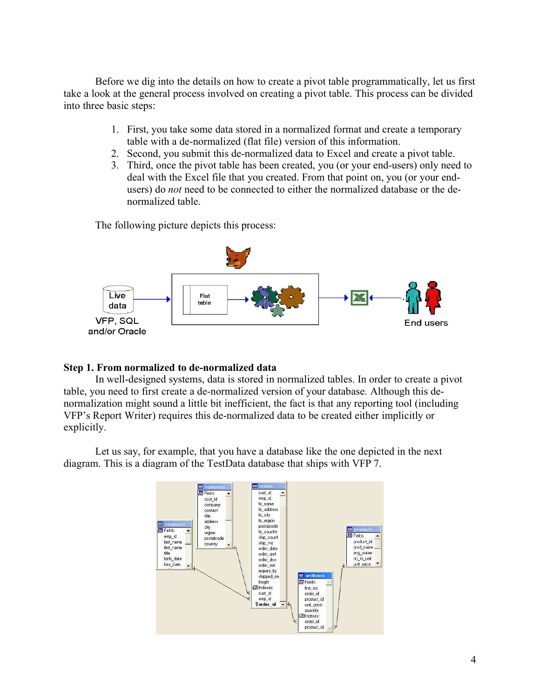Before we dig into the details on how to create a pivot table programmatically, let us first take a look at the general process involved on creating a pivot table. This process can be divided into three basic steps:

- 1. First, you take some data stored in a normalized format and create a temporary table with a de-normalized (flat file) version of this information.
- 2. Second, you submit this de-normalized data to Excel and create a pivot table.
- 3. Third, once the pivot table has been created, you (or your end-users) only need to deal with the Excel file that you created. From that point on, you (or your endusers) do *not* need to be connected to either the normalized database or the denormalized table.

The following picture depicts this process:



#### **Step 1. From normalized to de-normalized data**

In well-designed systems, data is stored in normalized tables. In order to create a pivot table, you need to first create a de-normalized version of your database. Although this denormalization might sound a little bit inefficient, the fact is that any reporting tool (including VFP's Report Writer) requires this de-normalized data to be created either implicitly or explicitly.

Let us say, for example, that you have a database like the one depicted in the next diagram. This is a diagram of the TestData database that ships with VFP 7.

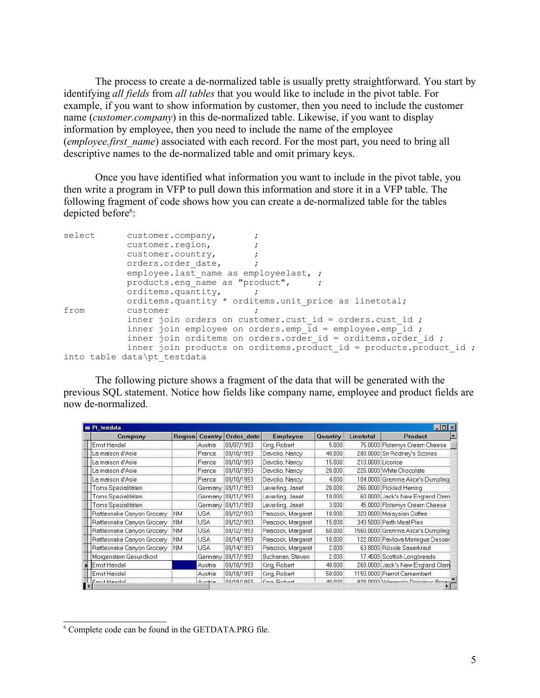The process to create a de-normalized table is usually pretty straightforward. You start by identifying *all fields* from *all tables* that you would like to include in the pivot table. For example, if you want to show information by customer, then you need to include the customer name (*customer.company*) in this de-normalized table. Likewise, if you want to display information by employee, then you need to include the name of the employee (*employee.first\_name*) associated with each record. For the most part, you need to bring all descriptive names to the de-normalized table and omit primary keys.

Once you have identified what information you want to include in the pivot table, you then write a program in VFP to pull down this information and store it in a VFP table. The following fragment of code shows how you can create a de-normalized table for the tables depicted before<sup>6</sup>:

| select | customer.company,                                                        |
|--------|--------------------------------------------------------------------------|
|        | customer.region,                                                         |
|        | customer.country,                                                        |
|        | orders.order date,                                                       |
|        | employee.last name as employeelast, ;                                    |
|        | products.eng name as "product",                                          |
|        | orditems.quantity,                                                       |
|        | orditems.quantity * orditems.unit price as linetotal;                    |
| from   | customer                                                                 |
|        | inner join orders on customer.cust id = orders.cust id ;                 |
|        | inner join employee on orders. emp $id = \text{employee}.\text{emp}$ id; |
|        | inner join orditems on orders.order id = orditems.order id ;             |
|        | inner join products on orditems. product id = products. product id ;     |
|        | into table data\pt testdata                                              |

The following picture shows a fragment of the data that will be generated with the previous SQL statement. Notice how fields like company name, employee and product fields are now de-normalized.

| Company                    | Region     | Country    | Order date          | Employee          | Quantity               | Linetotal         | Product                           |
|----------------------------|------------|------------|---------------------|-------------------|------------------------|-------------------|-----------------------------------|
| Ernst Handel               |            | Austria    | 08/07/1993          | King, Robert      | 5.000                  |                   | 75.0000 Flotemys Cream Cheese     |
| La maison d'Asie           |            | France     | 08/10/1993          | Davolio, Nancy    | 40.000                 |                   | 280.0000 Sir Rodney's Scones      |
| La maison d'Asie           |            | France     | 08/10/1993          | Davolio, Nancy    | 15,000                 | 210.0000 Licorice |                                   |
| La maison d'Asie           |            | France     | 108/10/1993         | Davolio, Nancy    | 20.000                 |                   | 226.0000 White Chocolate          |
| La maison d'Asie           |            | France     | 08/10/1993          | Davolio, Nancy    | 4.000                  |                   | 104.0000 Gramma Alice's Dumpling  |
| Toms Spezialitäten         |            |            | Germany 108/11/1993 | Leverling, Janet  | 20,000                 |                   | 266.0000 Pickled Herring          |
| Toms Spezialitäten         |            |            | Germany 108/11/1993 | Leverling, Janet  | 10.000                 |                   | 60.0000 Jack's New England Clam   |
| Toms Spezialitäten         |            |            | Germany 08/11/1993  | Leverling, Janet  | 3.000                  |                   | 45.0000 Flotemys Cream Cheese     |
| Rattlesnake Canyon Grocery | .inm       | iusa.      | 08/12/1993          | Peacock, Margaret | 10.000                 |                   | 320.0000 Malaysian Coffee         |
| Rattlesnake Canyon Grocery | :NM        | <b>USA</b> | 08/12/1993          | Peacock, Margaret | 15,000                 |                   | 343.5000 Perth Meat Pies          |
| Rattlesnake Canyon Grocery | INM        | <b>USA</b> | 08/12/1993          | Peacock, Margaret | 60.000                 |                   | 1560.0000 Gramma Alice's Dumpling |
| Rattlesnake Canyon Grocery | :NM        | iusa       | 08/14/1993          | Peacock, Margaret | 10.000                 |                   | 122.0000 Pavlova Merinque Desser  |
| Rattlesnake Canyon Grocery | <b>INM</b> | <b>USA</b> | 08/14/1993          | Peacock, Margaret | 2.000                  |                   | 63.8000 Rössle Sauerkraut         |
| Morgenstern Gesundkost     |            | Germany    | 08/17/1993          | Buchanan, Steven  | 2.000                  |                   | 17.4000 Scottish Longbreads       |
| <b>Ernst Handel</b>        |            | Austria    | 08/18/1993          | King, Robert      | 40.000                 |                   | 268.0000 Jack's New England Clam  |
| Ernst Handel               |            | Austria    | 08/18/1993          | King, Robert      | 50.000                 |                   | 1150.0000 Pierrot Camembert       |
| <b>Ernet Handel</b>        |            | Auctria    | C00 N.R.N.R.N.      | King Dohort       | $AD$ 000 $\frac{1}{2}$ |                   | 028 0000 Wimmork Dolicious Broad  |

<sup>6</sup> Complete code can be found in the GETDATA.PRG file.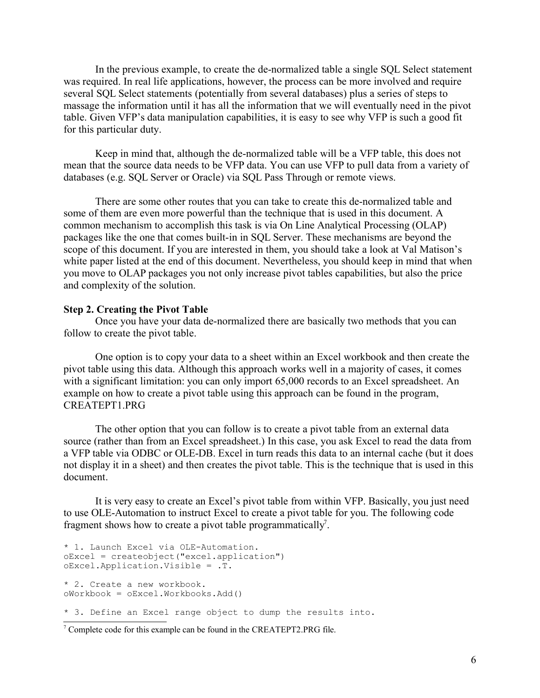In the previous example, to create the de-normalized table a single SQL Select statement was required. In real life applications, however, the process can be more involved and require several SQL Select statements (potentially from several databases) plus a series of steps to massage the information until it has all the information that we will eventually need in the pivot table. Given VFP's data manipulation capabilities, it is easy to see why VFP is such a good fit for this particular duty.

Keep in mind that, although the de-normalized table will be a VFP table, this does not mean that the source data needs to be VFP data. You can use VFP to pull data from a variety of databases (e.g. SQL Server or Oracle) via SQL Pass Through or remote views.

There are some other routes that you can take to create this de-normalized table and some of them are even more powerful than the technique that is used in this document. A common mechanism to accomplish this task is via On Line Analytical Processing (OLAP) packages like the one that comes built-in in SQL Server. These mechanisms are beyond the scope of this document. If you are interested in them, you should take a look at Val Matison's white paper listed at the end of this document. Nevertheless, you should keep in mind that when you move to OLAP packages you not only increase pivot tables capabilities, but also the price and complexity of the solution.

#### **Step 2. Creating the Pivot Table**

Once you have your data de-normalized there are basically two methods that you can follow to create the pivot table.

One option is to copy your data to a sheet within an Excel workbook and then create the pivot table using this data. Although this approach works well in a majority of cases, it comes with a significant limitation: you can only import 65,000 records to an Excel spreadsheet. An example on how to create a pivot table using this approach can be found in the program, CREATEPT1.PRG

The other option that you can follow is to create a pivot table from an external data source (rather than from an Excel spreadsheet.) In this case, you ask Excel to read the data from a VFP table via ODBC or OLE-DB. Excel in turn reads this data to an internal cache (but it does not display it in a sheet) and then creates the pivot table. This is the technique that is used in this document.

It is very easy to create an Excel's pivot table from within VFP. Basically, you just need to use OLE-Automation to instruct Excel to create a pivot table for you. The following code fragment shows how to create a pivot table programmatically<sup>7</sup>.

```
* 1. Launch Excel via OLE-Automation.
oExcel = createobject("excel.application")
oExcel.Application.Visible = .T.
* 2. Create a new workbook.
oWorkbook = oExcel.Workbooks.Add()
* 3. Define an Excel range object to dump the results into.
```
<sup>7</sup> Complete code for this example can be found in the CREATEPT2.PRG file.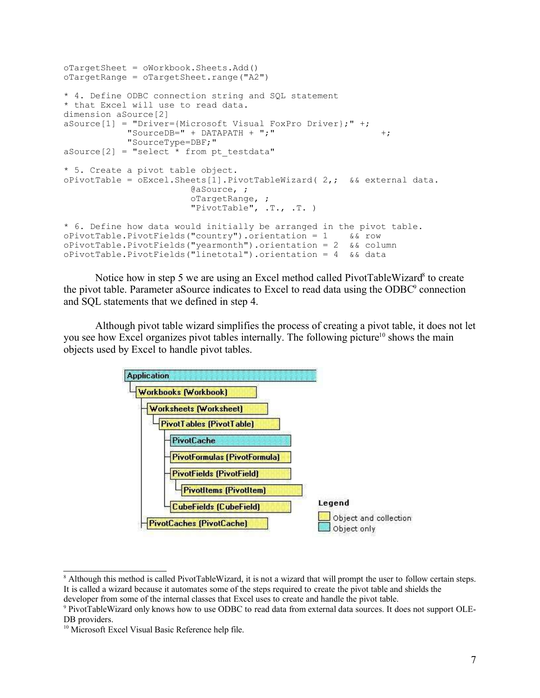```
oTargetSheet = oWorkbook.Sheets.Add()
oTargetRange = oTargetSheet.range("A2")
* 4. Define ODBC connection string and SQL statement 
* that Excel will use to read data. 
dimension aSource[2]
aSource[1] = "Driver={Microsoft Visual FoxPro Driver};" +;
           "SourceDB=" + DATAPATH + ";"""SourceType=DBF;"
aSource[2] = "select * from pt testdata"* 5. Create a pivot table object. 
oPivotTable = oExact.Sheets[1].PivotTableWizard( 2, ; & & external data.@aSource, ;
                       oTargetRange, ;
                       "PivotTable", .T., .T. )
* 6. Define how data would initially be arranged in the pivot table.
oPivotTable.PivotFields("country").orientation = 1 && row
oPivotTable.PivotFields("yearmonth").orientation = 2 && column
oPivotTable.PivotFields("linetotal").orientation = 4 && data
```
Notice how in step 5 we are using an Excel method called PivotTableWizard<sup>8</sup> to create the pivot table. Parameter aSource indicates to Excel to read data using the ODBC<sup>9</sup> connection and SQL statements that we defined in step 4.

Although pivot table wizard simplifies the process of creating a pivot table, it does not let you see how Excel organizes pivot tables internally. The following picture<sup>10</sup> shows the main objects used by Excel to handle pivot tables.



<sup>&</sup>lt;sup>8</sup> Although this method is called PivotTableWizard, it is not a wizard that will prompt the user to follow certain steps. It is called a wizard because it automates some of the steps required to create the pivot table and shields the developer from some of the internal classes that Excel uses to create and handle the pivot table.

<sup>9</sup> PivotTableWizard only knows how to use ODBC to read data from external data sources. It does not support OLE-DB providers.

<sup>&</sup>lt;sup>10</sup> Microsoft Excel Visual Basic Reference help file.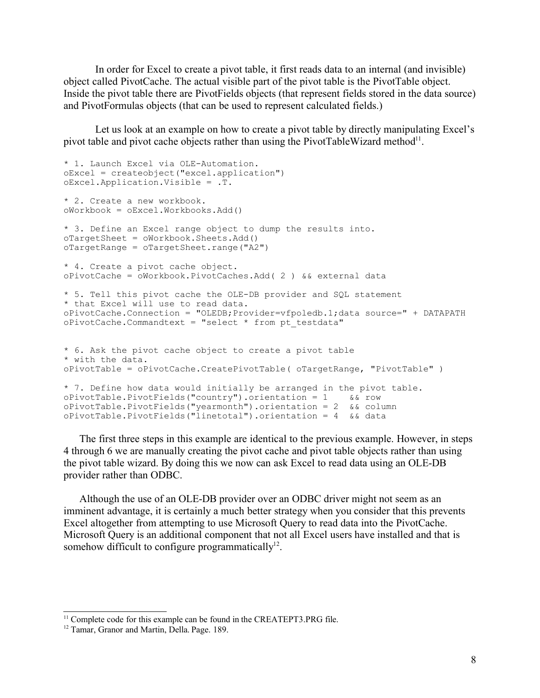In order for Excel to create a pivot table, it first reads data to an internal (and invisible) object called PivotCache. The actual visible part of the pivot table is the PivotTable object. Inside the pivot table there are PivotFields objects (that represent fields stored in the data source) and PivotFormulas objects (that can be used to represent calculated fields.)

Let us look at an example on how to create a pivot table by directly manipulating Excel's pivot table and pivot cache objects rather than using the PivotTableWizard method $^{11}$ .

```
* 1. Launch Excel via OLE-Automation.
oExcel = createobject("excel.application")
oExcel.Application.Visible = .T.
* 2. Create a new workbook.
oWorkbook = oExcel.Workbooks.Add()
* 3. Define an Excel range object to dump the results into.
oTargetSheet = oWorkbook.Sheets.Add()oTargetRange = oTargetSheet.range("A2")
* 4. Create a pivot cache object. 
oPivotCache = oWorkbook.PivotCaches.Add( 2 ) && external data
* 5. Tell this pivot cache the OLE-DB provider and SQL statement
* that Excel will use to read data.
oPivotCache.Connection = "OLEDB;Provider=vfpoledb.1;data source=" + DATAPATH
oPivotCache.Commandtext = "select * from pt_testdata" 
* 6. Ask the pivot cache object to create a pivot table
* with the data.
oPivotTable = oPivotCache.CreatePivotTable( oTargetRange, "PivotTable" )
* 7. Define how data would initially be arranged in the pivot table.
oPivotTable.PivotFields("country").orientation = 1 && row
oPivotTable.PivotFields("yearmonth").orientation = 2 && column
oPivotTable.PivotFields("linetotal").orientation = 4 && data
```
The first three steps in this example are identical to the previous example. However, in steps 4 through 6 we are manually creating the pivot cache and pivot table objects rather than using the pivot table wizard. By doing this we now can ask Excel to read data using an OLE-DB provider rather than ODBC.

Although the use of an OLE-DB provider over an ODBC driver might not seem as an imminent advantage, it is certainly a much better strategy when you consider that this prevents Excel altogether from attempting to use Microsoft Query to read data into the PivotCache. Microsoft Query is an additional component that not all Excel users have installed and that is somehow difficult to configure programmatically $12$ .

<sup>&</sup>lt;sup>11</sup> Complete code for this example can be found in the CREATEPT3.PRG file.

<sup>&</sup>lt;sup>12</sup> Tamar, Granor and Martin, Della. Page. 189.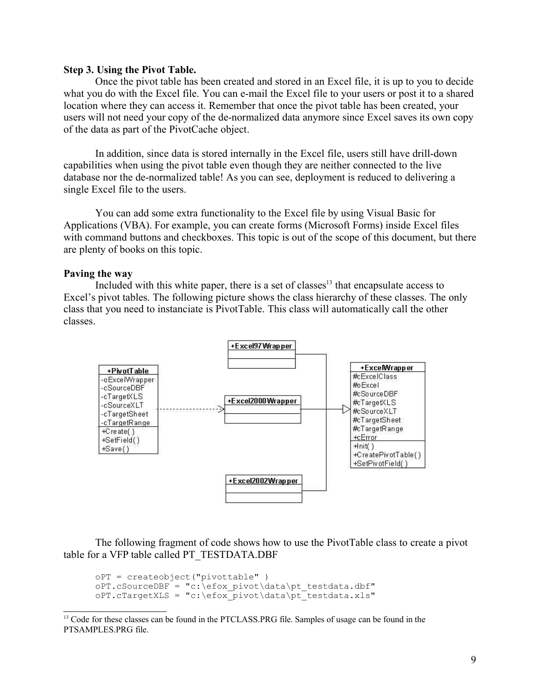#### **Step 3. Using the Pivot Table.**

Once the pivot table has been created and stored in an Excel file, it is up to you to decide what you do with the Excel file. You can e-mail the Excel file to your users or post it to a shared location where they can access it. Remember that once the pivot table has been created, your users will not need your copy of the de-normalized data anymore since Excel saves its own copy of the data as part of the PivotCache object.

In addition, since data is stored internally in the Excel file, users still have drill-down capabilities when using the pivot table even though they are neither connected to the live database nor the de-normalized table! As you can see, deployment is reduced to delivering a single Excel file to the users.

You can add some extra functionality to the Excel file by using Visual Basic for Applications (VBA). For example, you can create forms (Microsoft Forms) inside Excel files with command buttons and checkboxes. This topic is out of the scope of this document, but there are plenty of books on this topic.

#### **Paving the way**

Included with this white paper, there is a set of classes<sup>13</sup> that encapsulate access to Excel's pivot tables. The following picture shows the class hierarchy of these classes. The only class that you need to instanciate is PivotTable. This class will automatically call the other classes.



The following fragment of code shows how to use the PivotTable class to create a pivot table for a VFP table called PT\_TESTDATA.DBF

```
oPT = createobject("pivottable" )
oPT.cSourceDBF = "c:\efox pivot\data\pt testdata.dbf"
oPT.cTargetXLS = "c:\efox_pivot\data\pt_testdata.xls"
```
<sup>&</sup>lt;sup>13</sup> Code for these classes can be found in the PTCLASS.PRG file. Samples of usage can be found in the PTSAMPLES.PRG file.